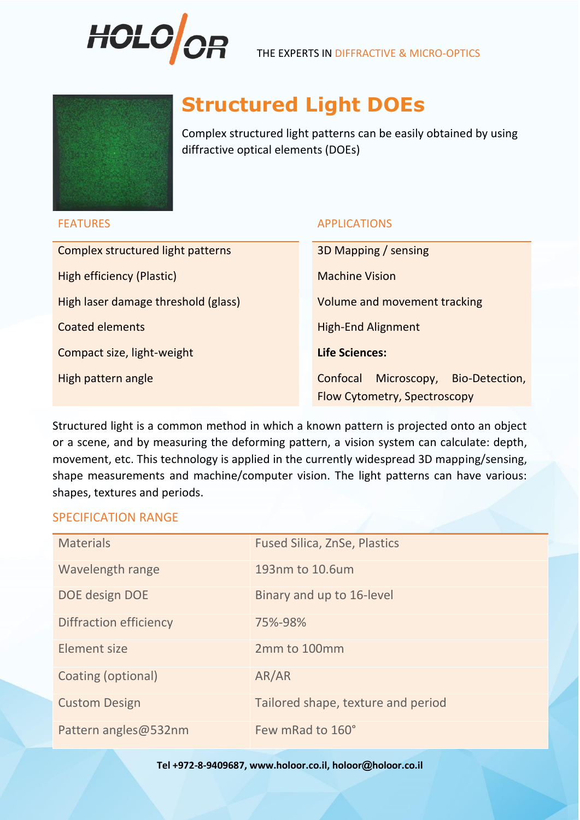



# **Structured Light DOEs**

Complex structured light patterns can be easily obtained by using diffractive optical elements (DOEs)

# FEATURES APPLICATIONS

Complex structured light patterns 3D Mapping / sensing High efficiency (Plastic) Machine Vision High laser damage threshold (glass) Volume and movement tracking **Coated elements High-End Alignment Compact size, light-weight <b>Life Sciences:** High pattern angle Confocal Microscopy, Bio-Detection,

Flow Cytometry, Spectroscopy

Structured light is a common method in which a known pattern is projected onto an object or a scene, and by measuring the deforming pattern, a vision system can calculate: depth, movement, etc. This technology is applied in the currently widespread 3D mapping/sensing, shape measurements and machine/computer vision. The light patterns can have various: shapes, textures and periods.

# SPECIFICATION RANGE

| <b>Materials</b>       | <b>Fused Silica, ZnSe, Plastics</b> |
|------------------------|-------------------------------------|
| Wavelength range       | 193nm to 10.6um                     |
| DOE design DOE         | Binary and up to 16-level           |
| Diffraction efficiency | 75%-98%                             |
| Element size           | 2mm to 100mm                        |
| Coating (optional)     | AR/AR                               |
| <b>Custom Design</b>   | Tailored shape, texture and period  |
| Pattern angles@532nm   | Few mRad to 160°                    |

### **Tel +972-8-9409687, www.holoor.co.il, holoor@holoor.co.il**